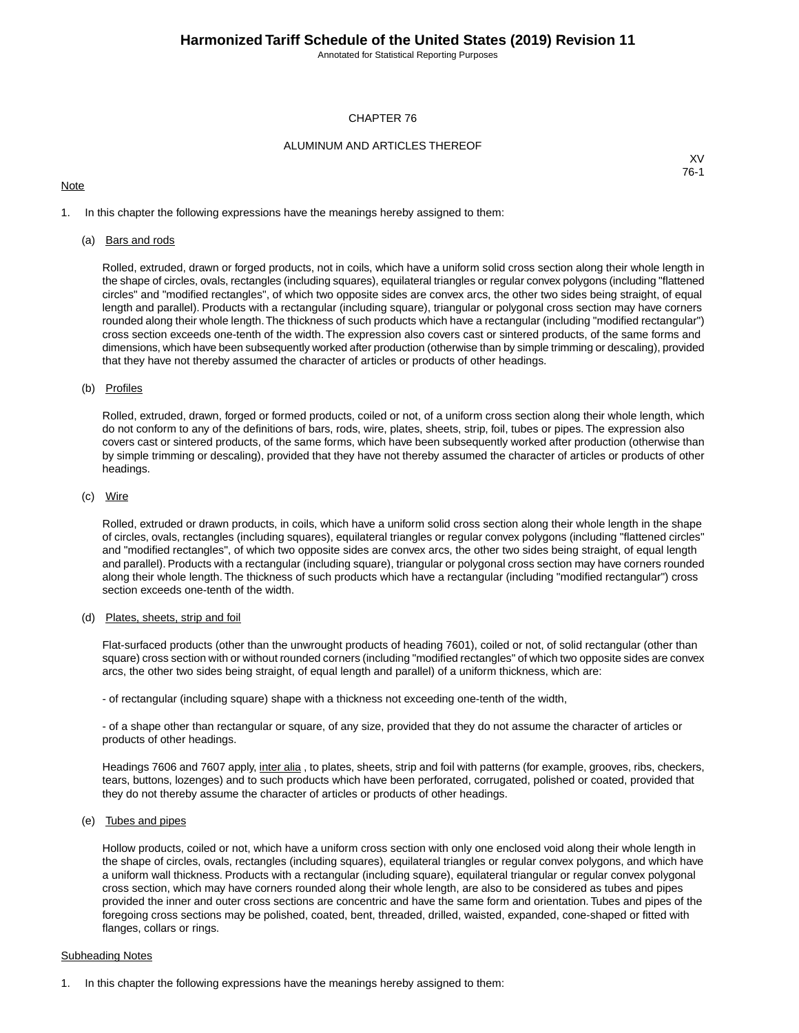Annotated for Statistical Reporting Purposes

### CHAPTER 76

### ALUMINUM AND ARTICLES THEREOF

### **Note**

XV 76-1

1. In this chapter the following expressions have the meanings hereby assigned to them:

#### (a) Bars and rods

Rolled, extruded, drawn or forged products, not in coils, which have a uniform solid cross section along their whole length in the shape of circles, ovals, rectangles (including squares), equilateral triangles or regular convex polygons (including "flattened circles" and "modified rectangles", of which two opposite sides are convex arcs, the other two sides being straight, of equal length and parallel). Products with a rectangular (including square), triangular or polygonal cross section may have corners rounded along their whole length.The thickness of such products which have a rectangular (including "modified rectangular") cross section exceeds one-tenth of the width. The expression also covers cast or sintered products, of the same forms and dimensions, which have been subsequently worked after production (otherwise than by simple trimming or descaling), provided that they have not thereby assumed the character of articles or products of other headings.

#### (b) Profiles

Rolled, extruded, drawn, forged or formed products, coiled or not, of a uniform cross section along their whole length, which do not conform to any of the definitions of bars, rods, wire, plates, sheets, strip, foil, tubes or pipes. The expression also covers cast or sintered products, of the same forms, which have been subsequently worked after production (otherwise than by simple trimming or descaling), provided that they have not thereby assumed the character of articles or products of other headings.

### (c) Wire

Rolled, extruded or drawn products, in coils, which have a uniform solid cross section along their whole length in the shape of circles, ovals, rectangles (including squares), equilateral triangles or regular convex polygons (including "flattened circles" and "modified rectangles", of which two opposite sides are convex arcs, the other two sides being straight, of equal length and parallel). Products with a rectangular (including square), triangular or polygonal cross section may have corners rounded along their whole length. The thickness of such products which have a rectangular (including "modified rectangular") cross section exceeds one-tenth of the width.

### (d) Plates, sheets, strip and foil

Flat-surfaced products (other than the unwrought products of heading 7601), coiled or not, of solid rectangular (other than square) cross section with or without rounded corners (including "modified rectangles" of which two opposite sides are convex arcs, the other two sides being straight, of equal length and parallel) of a uniform thickness, which are:

- of rectangular (including square) shape with a thickness not exceeding one-tenth of the width,

- of a shape other than rectangular or square, of any size, provided that they do not assume the character of articles or products of other headings.

Headings 7606 and 7607 apply, inter alia, to plates, sheets, strip and foil with patterns (for example, grooves, ribs, checkers, tears, buttons, lozenges) and to such products which have been perforated, corrugated, polished or coated, provided that they do not thereby assume the character of articles or products of other headings.

### (e) Tubes and pipes

Hollow products, coiled or not, which have a uniform cross section with only one enclosed void along their whole length in the shape of circles, ovals, rectangles (including squares), equilateral triangles or regular convex polygons, and which have a uniform wall thickness. Products with a rectangular (including square), equilateral triangular or regular convex polygonal cross section, which may have corners rounded along their whole length, are also to be considered as tubes and pipes provided the inner and outer cross sections are concentric and have the same form and orientation. Tubes and pipes of the foregoing cross sections may be polished, coated, bent, threaded, drilled, waisted, expanded, cone-shaped or fitted with flanges, collars or rings.

### Subheading Notes

1. In this chapter the following expressions have the meanings hereby assigned to them: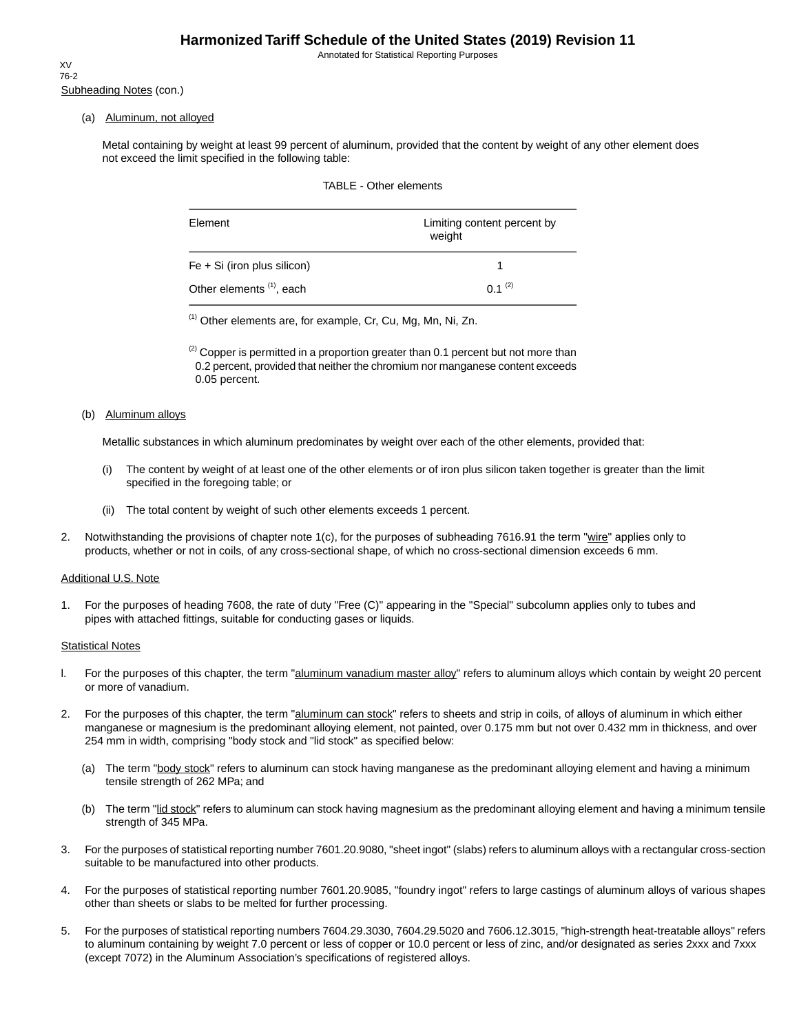Annotated for Statistical Reporting Purposes

Subheading Notes (con.) XV 76-2

### (a) Aluminum, not alloyed

Metal containing by weight at least 99 percent of aluminum, provided that the content by weight of any other element does not exceed the limit specified in the following table:

|  | TABLE - Other elements |  |
|--|------------------------|--|
|--|------------------------|--|

| Element                              | Limiting content percent by<br>weight |
|--------------------------------------|---------------------------------------|
| $Fe + Si$ (iron plus silicon)        |                                       |
| Other elements <sup>(1)</sup> , each | $0.1^{(2)}$                           |

(1) Other elements are, for example, Cr, Cu, Mg, Mn, Ni, Zn.

 $^{(2)}$  Copper is permitted in a proportion greater than 0.1 percent but not more than 0.2 percent, provided that neither the chromium nor manganese content exceeds 0.05 percent.

#### (b) Aluminum alloys

Metallic substances in which aluminum predominates by weight over each of the other elements, provided that:

- (i) The content by weight of at least one of the other elements or of iron plus silicon taken together is greater than the limit specified in the foregoing table; or
- (ii) The total content by weight of such other elements exceeds 1 percent.
- 2. Notwithstanding the provisions of chapter note 1(c), for the purposes of subheading 7616.91 the term "wire" applies only to products, whether or not in coils, of any cross-sectional shape, of which no cross-sectional dimension exceeds 6 mm.

### Additional U.S. Note

1. For the purposes of heading 7608, the rate of duty "Free (C)" appearing in the "Special" subcolumn applies only to tubes and pipes with attached fittings, suitable for conducting gases or liquids.

#### **Statistical Notes**

- l. For the purposes of this chapter, the term "aluminum vanadium master alloy" refers to aluminum alloys which contain by weight 20 percent or more of vanadium.
- 2. For the purposes of this chapter, the term "aluminum can stock" refers to sheets and strip in coils, of alloys of aluminum in which either manganese or magnesium is the predominant alloying element, not painted, over 0.175 mm but not over 0.432 mm in thickness, and over 254 mm in width, comprising "body stock and "lid stock" as specified below:
	- (a) The term "body stock" refers to aluminum can stock having manganese as the predominant alloying element and having a minimum tensile strength of 262 MPa; and
	- (b) The term "lid stock" refers to aluminum can stock having magnesium as the predominant alloying element and having a minimum tensile strength of 345 MPa.
- 3. For the purposes of statistical reporting number 7601.20.9080, "sheet ingot" (slabs) refers to aluminum alloys with a rectangular cross-section suitable to be manufactured into other products.
- 4. For the purposes of statistical reporting number 7601.20.9085, "foundry ingot" refers to large castings of aluminum alloys of various shapes other than sheets or slabs to be melted for further processing.
- 5. For the purposes of statistical reporting numbers 7604.29.3030, 7604.29.5020 and 7606.12.3015, "high-strength heat-treatable alloys" refers to aluminum containing by weight 7.0 percent or less of copper or 10.0 percent or less of zinc, and/or designated as series 2xxx and 7xxx (except 7072) in the Aluminum Association's specifications of registered alloys.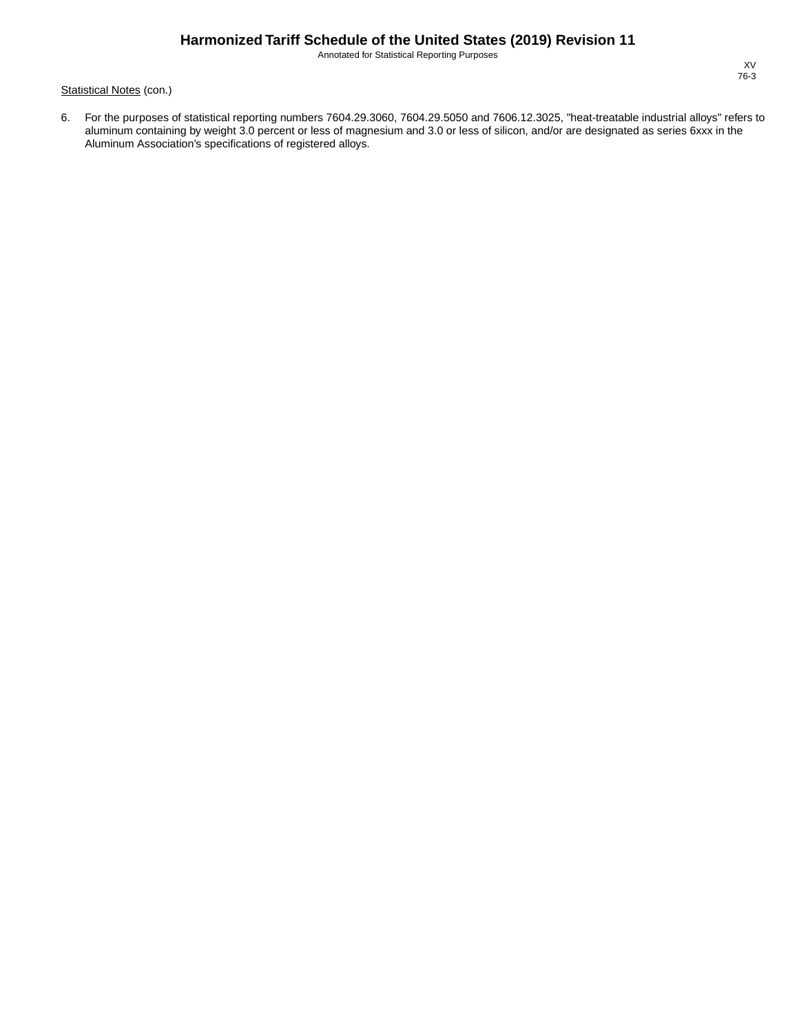Annotated for Statistical Reporting Purposes

Statistical Notes (con.)

6. For the purposes of statistical reporting numbers 7604.29.3060, 7604.29.5050 and 7606.12.3025, "heat-treatable industrial alloys" refers to aluminum containing by weight 3.0 percent or less of magnesium and 3.0 or less of silicon, and/or are designated as series 6xxx in the Aluminum Association's specifications of registered alloys.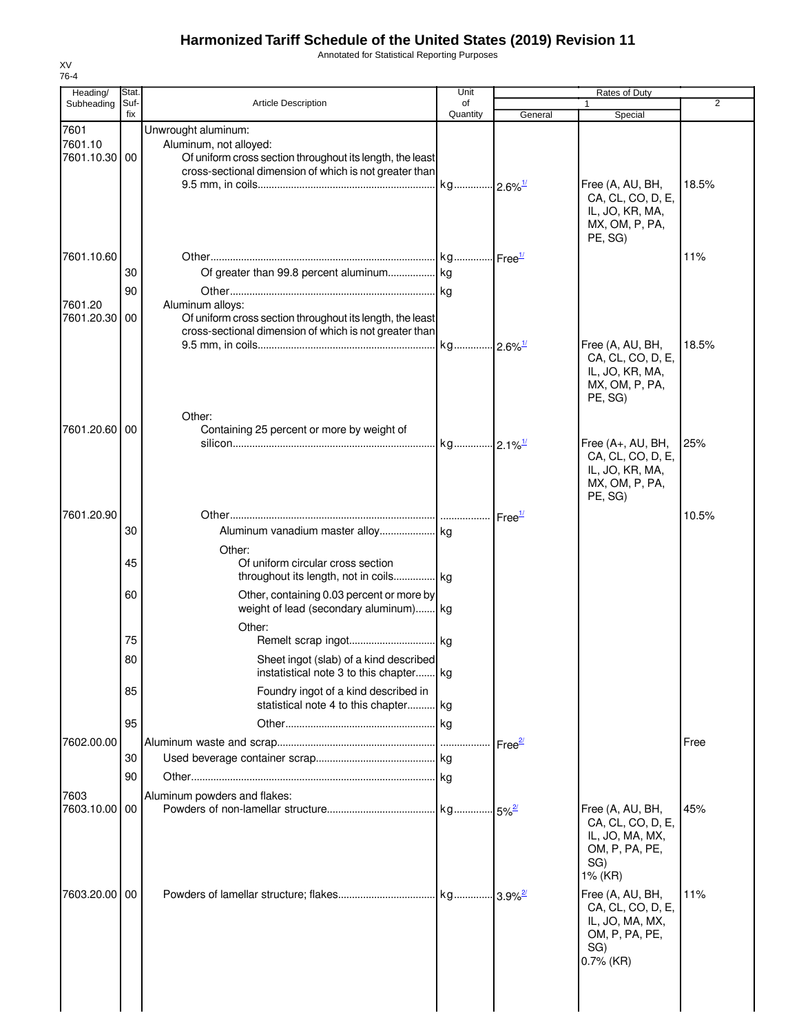Annotated for Statistical Reporting Purposes

| Heading/                         | Stat.       |                                                                                                                                                                      | Unit           |                       | Rates of Duty                                                                                     |       |
|----------------------------------|-------------|----------------------------------------------------------------------------------------------------------------------------------------------------------------------|----------------|-----------------------|---------------------------------------------------------------------------------------------------|-------|
| Subheading                       | Suf-<br>fix | <b>Article Description</b>                                                                                                                                           | of<br>Quantity | General               | 1<br>Special                                                                                      | 2     |
| 7601<br>7601.10<br>7601.10.30 00 |             | Unwrought aluminum:<br>Aluminum, not alloyed:<br>Of uniform cross section throughout its length, the least<br>cross-sectional dimension of which is not greater than |                |                       | Free (A, AU, BH,<br>CA, CL, CO, D, E,<br>IL, JO, KR, MA,<br>MX, OM, P, PA,<br>PE, SG)             | 18.5% |
| 7601.10.60                       |             |                                                                                                                                                                      |                |                       |                                                                                                   | 11%   |
|                                  | 30          | Of greater than 99.8 percent aluminum  kg                                                                                                                            |                |                       |                                                                                                   |       |
|                                  | 90          |                                                                                                                                                                      |                |                       |                                                                                                   |       |
| 7601.20<br>7601.20.30            | 00          | Aluminum alloys:<br>Of uniform cross section throughout its length, the least<br>cross-sectional dimension of which is not greater than                              |                |                       |                                                                                                   |       |
|                                  |             | Other:                                                                                                                                                               |                |                       | Free (A, AU, BH,<br>CA, CL, CO, D, E,<br>IL, JO, KR, MA,<br>MX, OM, P, PA,<br>PE, SG)             | 18.5% |
| 7601.20.60 00                    |             | Containing 25 percent or more by weight of                                                                                                                           |                |                       |                                                                                                   |       |
|                                  |             |                                                                                                                                                                      |                |                       | Free (A+, AU, BH,<br>CA, CL, CO, D, E,<br>IL, JO, KR, MA,<br>MX, OM, P, PA,<br>PE, SG)            | 25%   |
| 7601.20.90                       |             |                                                                                                                                                                      |                | Free <sup>1/</sup>    |                                                                                                   | 10.5% |
|                                  | 30          |                                                                                                                                                                      |                |                       |                                                                                                   |       |
|                                  |             | Other:                                                                                                                                                               |                |                       |                                                                                                   |       |
|                                  | 45          | Of uniform circular cross section<br>throughout its length, not in coils kg                                                                                          |                |                       |                                                                                                   |       |
|                                  | 60          | Other, containing 0.03 percent or more by<br>weight of lead (secondary aluminum) kg                                                                                  |                |                       |                                                                                                   |       |
|                                  | 75          | Other:                                                                                                                                                               |                |                       |                                                                                                   |       |
|                                  | 80          |                                                                                                                                                                      |                |                       |                                                                                                   |       |
|                                  | 85          | Sheet ingot (slab) of a kind described<br>instatistical note 3 to this chapter kg<br>Foundry ingot of a kind described in                                            |                |                       |                                                                                                   |       |
|                                  |             | statistical note 4 to this chapter kg                                                                                                                                |                |                       |                                                                                                   |       |
|                                  | 95          |                                                                                                                                                                      |                |                       |                                                                                                   |       |
| 7602.00.00                       |             |                                                                                                                                                                      |                |                       |                                                                                                   | Free  |
|                                  | 30          |                                                                                                                                                                      |                | Free <sup>27</sup>    |                                                                                                   |       |
|                                  | 90          |                                                                                                                                                                      |                |                       |                                                                                                   |       |
|                                  |             |                                                                                                                                                                      |                |                       |                                                                                                   |       |
| 7603<br>7603.10.00 00            |             | Aluminum powders and flakes:                                                                                                                                         |                |                       | Free (A, AU, BH,                                                                                  | 45%   |
|                                  |             |                                                                                                                                                                      |                | $.15\%$ <sup>2/</sup> | CA, CL, CO, D, E,<br>IL, JO, MA, MX,<br>OM, P, PA, PE,<br>SG)<br>1% (KR)                          |       |
| 7603.20.00 00                    |             |                                                                                                                                                                      |                |                       | Free (A, AU, BH,<br>CA, CL, CO, D, E,<br>IL, JO, MA, MX,<br>OM, P, PA, PE,<br>SG)<br>$0.7\%$ (KR) | 11%   |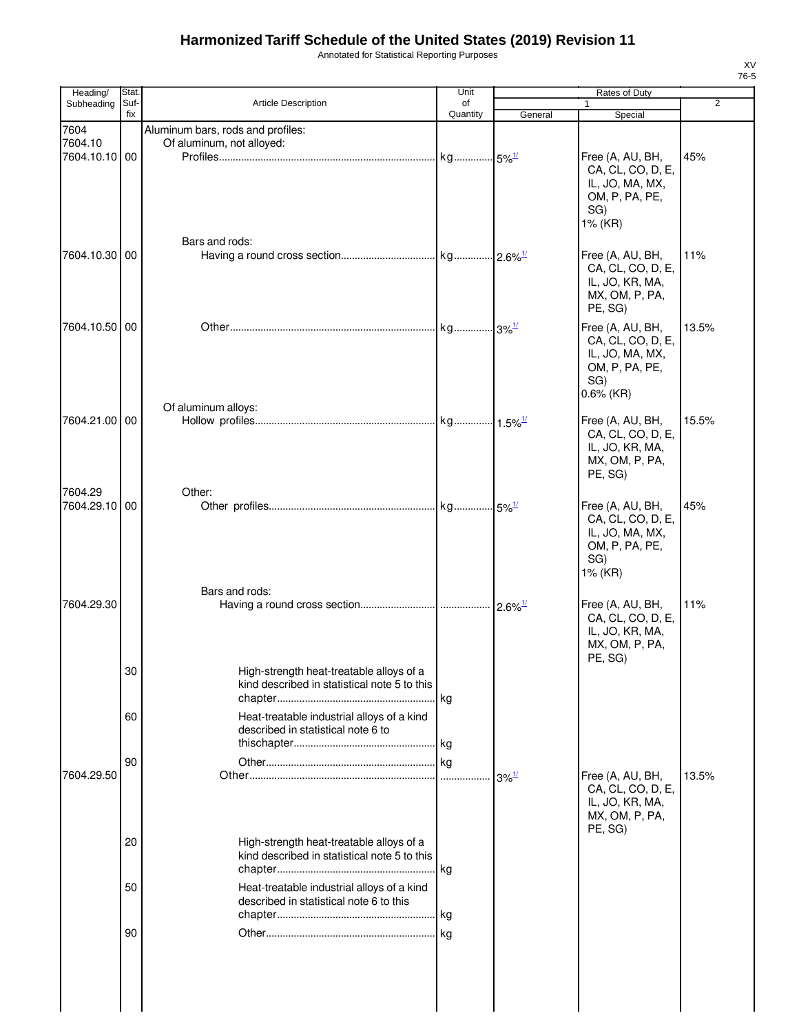Annotated for Statistical Reporting Purposes

| Heading/                 | Stat.       |                                                                                          | Unit           |                     | Rates of Duty                                                                                     |                |
|--------------------------|-------------|------------------------------------------------------------------------------------------|----------------|---------------------|---------------------------------------------------------------------------------------------------|----------------|
| Subheading               | Suf-<br>fix | Article Description                                                                      | of<br>Quantity | General             | 1<br>Special                                                                                      | $\overline{2}$ |
| 7604<br>7604.10          |             | Aluminum bars, rods and profiles:<br>Of aluminum, not alloyed:                           |                |                     |                                                                                                   |                |
| 7604.10.10 00            |             |                                                                                          |                |                     | Free (A, AU, BH,<br>CA, CL, CO, D, E,<br>IL, JO, MA, MX,<br>OM, P, PA, PE,<br>SG)<br>1% (KR)      | 45%            |
| 7604.10.30 00            |             | Bars and rods:                                                                           |                |                     | Free (A, AU, BH,<br>CA, CL, CO, D, E,<br>IL, JO, KR, MA,<br>MX, OM, P, PA,<br>PE, SG)             | 11%            |
| 7604.10.50 00            |             |                                                                                          |                |                     | Free (A, AU, BH,<br>CA, CL, CO, D, E,<br>IL, JO, MA, MX,<br>OM, P, PA, PE,<br>SG)<br>$0.6\%$ (KR) | 13.5%          |
| 7604.21.00 00            |             | Of aluminum alloys:                                                                      |                |                     | Free (A, AU, BH,<br>CA, CL, CO, D, E,<br>IL, JO, KR, MA,<br>MX, OM, P, PA,<br>PE, SG)             | 15.5%          |
| 7604.29<br>7604.29.10 00 |             | Other:                                                                                   |                |                     | Free (A, AU, BH,<br>CA, CL, CO, D, E,<br>IL, JO, MA, MX,<br>OM, P, PA, PE,<br>SG)<br>1% (KR)      | 45%            |
| 7604.29.30               |             | Bars and rods:                                                                           |                |                     | Free (A, AU, BH,<br>CA, CL, CO, D, E,<br>IL, JO, KR, MA,<br>MX, OM, P, PA,<br>PE, SG)             | 11%            |
|                          | 30          | High-strength heat-treatable alloys of a<br>kind described in statistical note 5 to this |                |                     |                                                                                                   |                |
|                          | 60          | Heat-treatable industrial alloys of a kind<br>described in statistical note 6 to         |                |                     |                                                                                                   |                |
| 7604.29.50               | 90          |                                                                                          |                | $3\%$ <sup>1/</sup> | Free (A, AU, BH,<br>CA, CL, CO, D, E,<br>IL, JO, KR, MA,<br>MX, OM, P, PA,<br>PE, SG)             | 13.5%          |
|                          | 20          | High-strength heat-treatable alloys of a<br>kind described in statistical note 5 to this |                |                     |                                                                                                   |                |
|                          | 50          | Heat-treatable industrial alloys of a kind<br>described in statistical note 6 to this    |                |                     |                                                                                                   |                |
|                          | 90          |                                                                                          |                |                     |                                                                                                   |                |
|                          |             |                                                                                          |                |                     |                                                                                                   |                |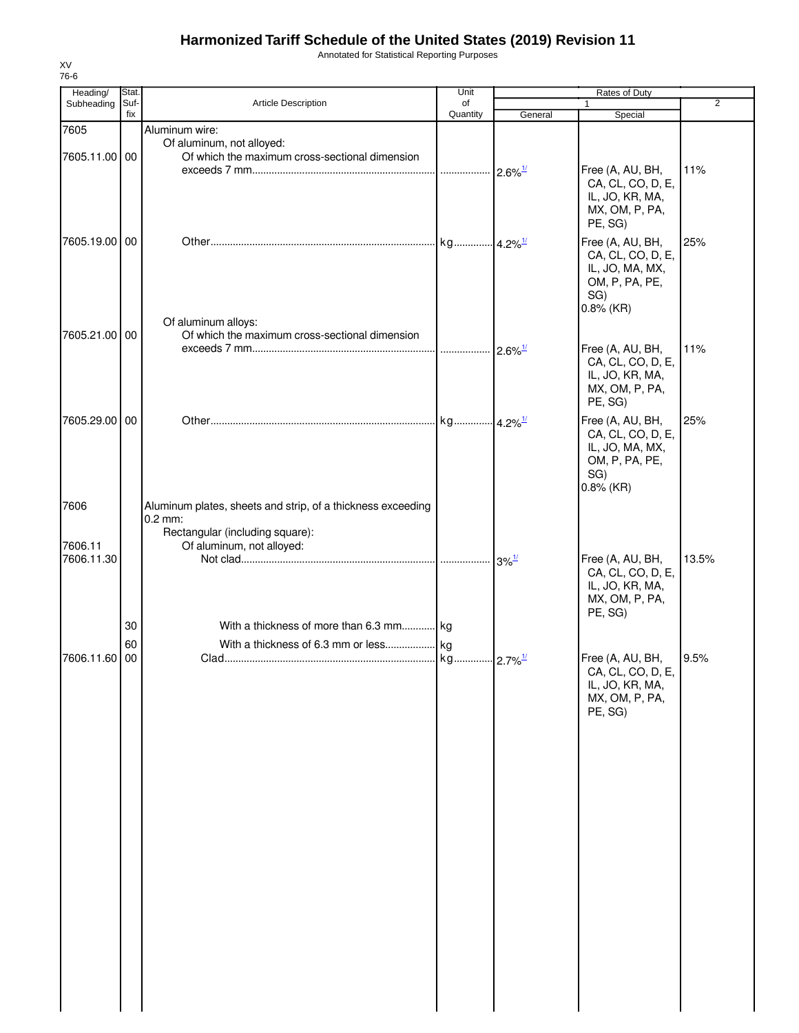Annotated for Statistical Reporting Purposes

| Heading/              | Stat. |                                                                                               | Unit     |                        | Rates of Duty                                                                                     |                |
|-----------------------|-------|-----------------------------------------------------------------------------------------------|----------|------------------------|---------------------------------------------------------------------------------------------------|----------------|
| Subheading            | Suf-  | Article Description                                                                           | of       |                        |                                                                                                   | $\overline{2}$ |
|                       | fix   |                                                                                               | Quantity | General                | Special                                                                                           |                |
| 7605<br>7605.11.00 00 |       | Aluminum wire:<br>Of aluminum, not alloyed:<br>Of which the maximum cross-sectional dimension |          | $-2.6\%$ <sup>1/</sup> | Free (A, AU, BH,                                                                                  | 11%            |
|                       |       |                                                                                               |          |                        | CA, CL, CO, D, E,<br>IL, JO, KR, MA,<br>MX, OM, P, PA,<br>PE, SG)                                 |                |
| 7605.19.00            | 00    | Of aluminum alloys:                                                                           |          |                        | Free (A, AU, BH,<br>CA, CL, CO, D, E,<br>IL, JO, MA, MX,<br>OM, P, PA, PE,<br>SG)<br>$0.8\%$ (KR) | 25%            |
| 7605.21.00            | 00    | Of which the maximum cross-sectional dimension                                                |          |                        |                                                                                                   |                |
|                       |       |                                                                                               |          | $2.6\%$ <sup>1/</sup>  | Free (A, AU, BH,<br>CA, CL, CO, D, E,<br>IL, JO, KR, MA,<br>MX, OM, P, PA,<br>PE, SG)             | 11%            |
| 7605.29.00 00         |       |                                                                                               |          |                        | Free (A, AU, BH,<br>CA, CL, CO, D, E,<br>IL, JO, MA, MX,<br>OM, P, PA, PE,<br>SG)<br>$0.8\%$ (KR) | 25%            |
| 7606                  |       | Aluminum plates, sheets and strip, of a thickness exceeding<br>$0.2$ mm:                      |          |                        |                                                                                                   |                |
|                       |       | Rectangular (including square):                                                               |          |                        |                                                                                                   |                |
| 7606.11<br>7606.11.30 |       | Of aluminum, not alloyed:                                                                     |          | $3\%$ <sup>1/</sup>    | Free (A, AU, BH,<br>CA, CL, CO, D, E,<br>IL, JO, KR, MA,<br>MX, OM, P, PA,<br>PE, SG)             | 13.5%          |
|                       | 30    | With a thickness of more than 6.3 mm kg                                                       |          |                        |                                                                                                   |                |
|                       | 60    |                                                                                               |          |                        |                                                                                                   |                |
| 7606.11.60            | 00    |                                                                                               |          |                        | Free (A, AU, BH,<br>CA, CL, CO, D, E,<br>IL, JO, KR, MA,<br>MX, OM, P, PA,<br>PE, SG)             | 9.5%           |
|                       |       |                                                                                               |          |                        |                                                                                                   |                |
|                       |       |                                                                                               |          |                        |                                                                                                   |                |
|                       |       |                                                                                               |          |                        |                                                                                                   |                |
|                       |       |                                                                                               |          |                        |                                                                                                   |                |
|                       |       |                                                                                               |          |                        |                                                                                                   |                |
|                       |       |                                                                                               |          |                        |                                                                                                   |                |
|                       |       |                                                                                               |          |                        |                                                                                                   |                |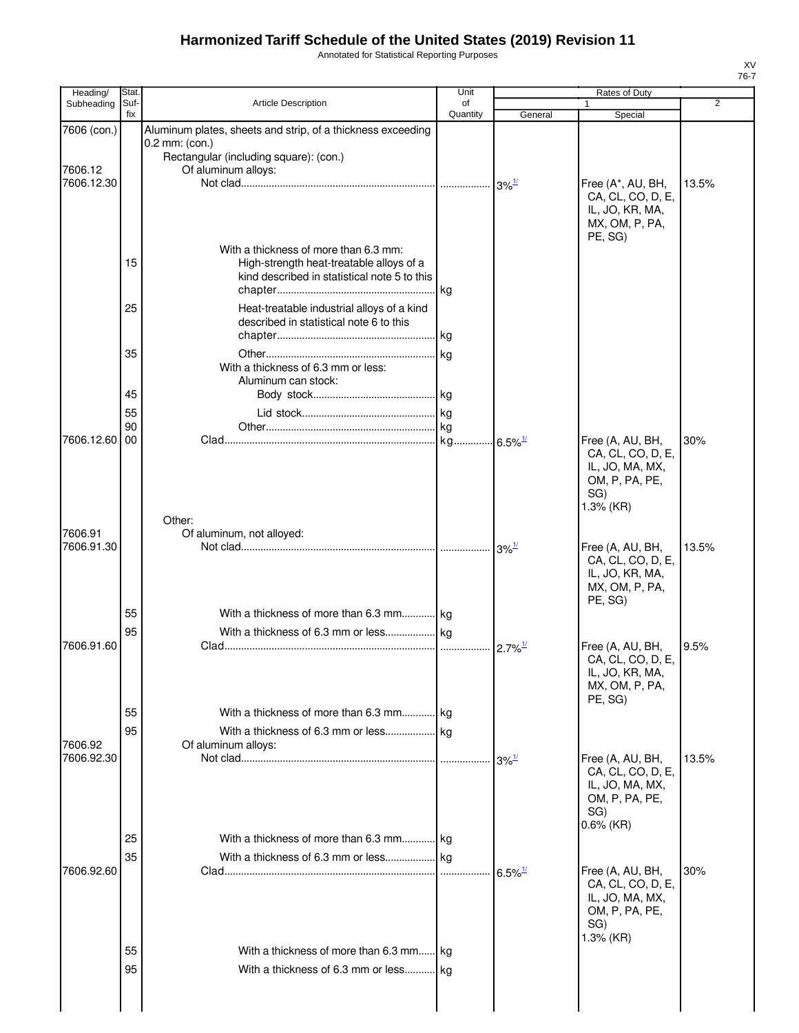Annotated for Statistical Reporting Purposes

| Heading/              | Stat.       |                                                                                       | Unit           |                       | Rates of Duty                         |                |
|-----------------------|-------------|---------------------------------------------------------------------------------------|----------------|-----------------------|---------------------------------------|----------------|
| Subheading            | Suf-<br>fix | Article Description                                                                   | of<br>Quantity | General               |                                       | $\overline{2}$ |
| 7606 (con.)           |             | Aluminum plates, sheets and strip, of a thickness exceeding                           |                |                       | Special                               |                |
|                       |             | 0.2 mm: (con.)                                                                        |                |                       |                                       |                |
|                       |             | Rectangular (including square): (con.)                                                |                |                       |                                       |                |
| 7606.12<br>7606.12.30 |             | Of aluminum alloys:                                                                   |                |                       | Free (A*, AU, BH,                     | 13.5%          |
|                       |             |                                                                                       |                |                       | CA, CL, CO, D, E,                     |                |
|                       |             |                                                                                       |                |                       | IL, JO, KR, MA,                       |                |
|                       |             |                                                                                       |                |                       | MX, OM, P, PA,                        |                |
|                       |             | With a thickness of more than 6.3 mm:                                                 |                |                       | PE, SG)                               |                |
|                       | 15          | High-strength heat-treatable alloys of a                                              |                |                       |                                       |                |
|                       |             | kind described in statistical note 5 to this                                          |                |                       |                                       |                |
|                       |             |                                                                                       | kg             |                       |                                       |                |
|                       | 25          | Heat-treatable industrial alloys of a kind<br>described in statistical note 6 to this |                |                       |                                       |                |
|                       |             |                                                                                       |                |                       |                                       |                |
|                       | 35          |                                                                                       |                |                       |                                       |                |
|                       |             | With a thickness of 6.3 mm or less:                                                   |                |                       |                                       |                |
|                       |             | Aluminum can stock:                                                                   |                |                       |                                       |                |
|                       | 45          |                                                                                       |                |                       |                                       |                |
|                       | 55<br>90    |                                                                                       |                |                       |                                       |                |
| 7606.12.60            | 00          |                                                                                       |                |                       | Free (A, AU, BH,                      | 30%            |
|                       |             |                                                                                       |                |                       | CA, CL, CO, D, E,                     |                |
|                       |             |                                                                                       |                |                       | IL, JO, MA, MX,                       |                |
|                       |             |                                                                                       |                |                       | OM, P, PA, PE,<br>SG)                 |                |
|                       |             |                                                                                       |                |                       | 1.3% (KR)                             |                |
|                       |             | Other:                                                                                |                |                       |                                       |                |
| 7606.91<br>7606.91.30 |             | Of aluminum, not alloyed:                                                             |                |                       |                                       | 13.5%          |
|                       |             |                                                                                       |                | $3\%$ <sup>1/</sup>   | Free (A, AU, BH,<br>CA, CL, CO, D, E, |                |
|                       |             |                                                                                       |                |                       | IL, JO, KR, MA,                       |                |
|                       |             |                                                                                       |                |                       | MX, OM, P, PA,                        |                |
|                       | 55          | With a thickness of more than 6.3 mm kg                                               |                |                       | PE, SG)                               |                |
|                       | 95          |                                                                                       |                |                       |                                       |                |
| 7606.91.60            |             |                                                                                       |                | $2.7\%$ <sup>1/</sup> | Free (A, AU, BH,                      | 9.5%           |
|                       |             |                                                                                       |                |                       | CA, CL, CO, D, E,                     |                |
|                       |             |                                                                                       |                |                       | IL, JO, KR, MA,                       |                |
|                       |             |                                                                                       |                |                       | MX, OM, P, PA,<br>PE, SG)             |                |
|                       | 55          | With a thickness of more than 6.3 mm kg                                               |                |                       |                                       |                |
|                       | 95          |                                                                                       |                |                       |                                       |                |
| 7606.92               |             | Of aluminum alloys:                                                                   |                |                       |                                       |                |
| 7606.92.30            |             |                                                                                       | .              | $3\%$ <sup>1/</sup>   | Free (A, AU, BH,                      | 13.5%          |
|                       |             |                                                                                       |                |                       | CA, CL, CO, D, E,<br>IL, JO, MA, MX,  |                |
|                       |             |                                                                                       |                |                       | OM, P, PA, PE,                        |                |
|                       |             |                                                                                       |                |                       | SG)                                   |                |
|                       | 25          | With a thickness of more than 6.3 mm kg                                               |                |                       | $0.6\%$ (KR)                          |                |
|                       | 35          |                                                                                       |                |                       |                                       |                |
| 7606.92.60            |             |                                                                                       |                | $6.5\%$ <sup>1/</sup> | Free (A, AU, BH,                      | 30%            |
|                       |             |                                                                                       |                |                       | CA, CL, CO, D, E,                     |                |
|                       |             |                                                                                       |                |                       | IL, JO, MA, MX,                       |                |
|                       |             |                                                                                       |                |                       | OM, P, PA, PE,<br>SG)                 |                |
|                       |             |                                                                                       |                |                       | $1.3%$ (KR)                           |                |
|                       | 55          | With a thickness of more than 6.3 mm kg                                               |                |                       |                                       |                |
|                       | 95          | With a thickness of 6.3 mm or less                                                    | <b>kg</b>      |                       |                                       |                |
|                       |             |                                                                                       |                |                       |                                       |                |
|                       |             |                                                                                       |                |                       |                                       |                |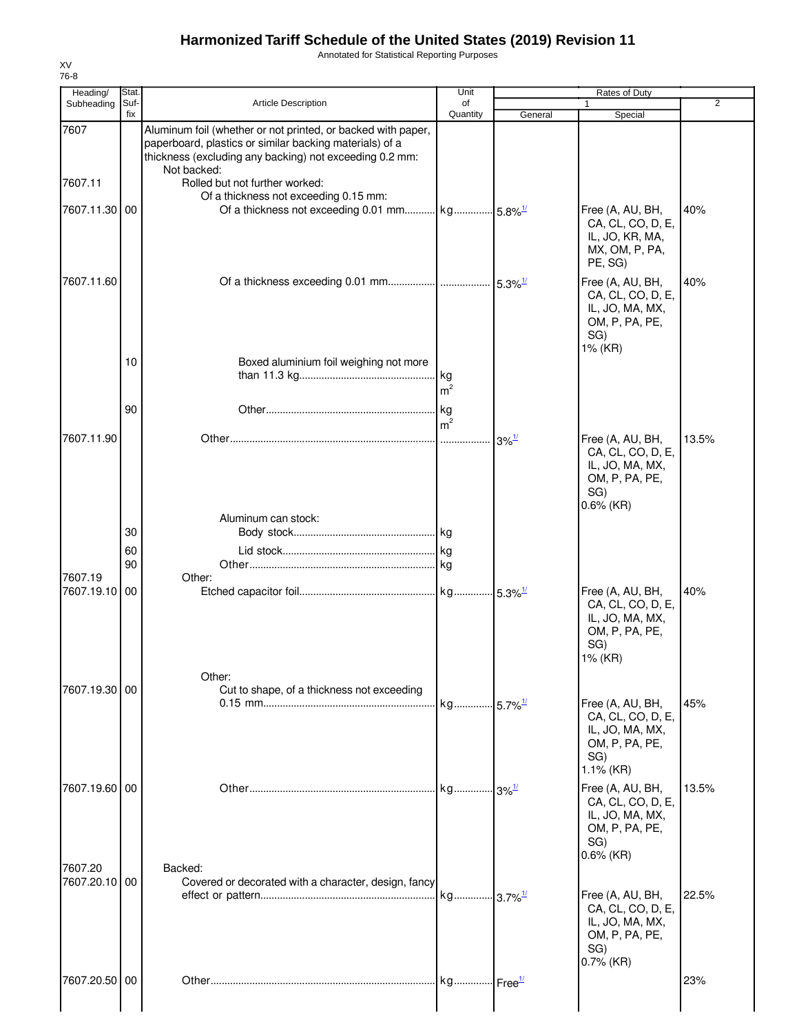Annotated for Statistical Reporting Purposes

| Heading/                 | Stat.          |                                                                                                                                                                                                                                                                              | Unit                   |                                           | Rates of Duty                                                                                     |       |
|--------------------------|----------------|------------------------------------------------------------------------------------------------------------------------------------------------------------------------------------------------------------------------------------------------------------------------------|------------------------|-------------------------------------------|---------------------------------------------------------------------------------------------------|-------|
| Subheading               | Suf-<br>fix    | <b>Article Description</b>                                                                                                                                                                                                                                                   | of<br>Quantity         | General                                   | Special                                                                                           | 2     |
| 7607<br>7607.11          |                | Aluminum foil (whether or not printed, or backed with paper,<br>paperboard, plastics or similar backing materials) of a<br>thickness (excluding any backing) not exceeding 0.2 mm:<br>Not backed:<br>Rolled but not further worked:<br>Of a thickness not exceeding 0.15 mm: |                        |                                           |                                                                                                   |       |
| 7607.11.30 00            |                |                                                                                                                                                                                                                                                                              |                        |                                           | Free (A, AU, BH,<br>CA, CL, CO, D, E,<br>IL, JO, KR, MA,<br>MX, OM, P, PA,<br>PE, SG)             | 40%   |
| 7607.11.60               | 10             | Boxed aluminium foil weighing not more                                                                                                                                                                                                                                       |                        |                                           | Free (A, AU, BH,<br>CA, CL, CO, D, E,<br>IL, JO, MA, MX,<br>OM, P, PA, PE,<br>SG)<br>1% (KR)      | 40%   |
|                          | 90             |                                                                                                                                                                                                                                                                              | m <sup>2</sup><br>. kg |                                           |                                                                                                   |       |
| 7607.11.90               |                |                                                                                                                                                                                                                                                                              | m <sup>2</sup>         | $3\%$ <sup><math>\frac{1}{2}</math></sup> | Free (A, AU, BH,<br>CA, CL, CO, D, E,<br>IL, JO, MA, MX,<br>OM, P, PA, PE,<br>SG)                 | 13.5% |
| 7607.19                  | 30<br>60<br>90 | Aluminum can stock:<br>Other:                                                                                                                                                                                                                                                |                        |                                           | $0.6\%$ (KR)                                                                                      |       |
| 7607.19.10 00            |                |                                                                                                                                                                                                                                                                              |                        |                                           | Free (A, AU, BH,<br>CA, CL, CO, D, E,<br>IL, JO, MA, MX,<br>OM, P, PA, PE,<br>SG)<br>1% (KR)      | 40%   |
| 7607.19.30 00            |                | Other:<br>Cut to shape, of a thickness not exceeding                                                                                                                                                                                                                         | kg 5.7% <sup>1/</sup>  |                                           | Free (A, AU, BH,<br>CA, CL, CO, D, E,<br>IL, JO, MA, MX,<br>OM, P, PA, PE,<br>SG)<br>$1.1\%$ (KR) | 45%   |
| 7607.19.60 00            |                |                                                                                                                                                                                                                                                                              |                        |                                           | Free (A, AU, BH,<br>CA, CL, CO, D, E,<br>IL, JO, MA, MX,<br>OM, P, PA, PE,<br>SG)<br>$0.6\%$ (KR) | 13.5% |
| 7607.20<br>7607.20.10 00 |                | Backed:<br>Covered or decorated with a character, design, fancy                                                                                                                                                                                                              |                        |                                           | Free (A, AU, BH,<br>CA, CL, CO, D, E,<br>IL, JO, MA, MX,<br>OM, P, PA, PE,<br>SG)<br>$0.7\%$ (KR) | 22.5% |
| 7607.20.50 00            |                |                                                                                                                                                                                                                                                                              |                        |                                           |                                                                                                   | 23%   |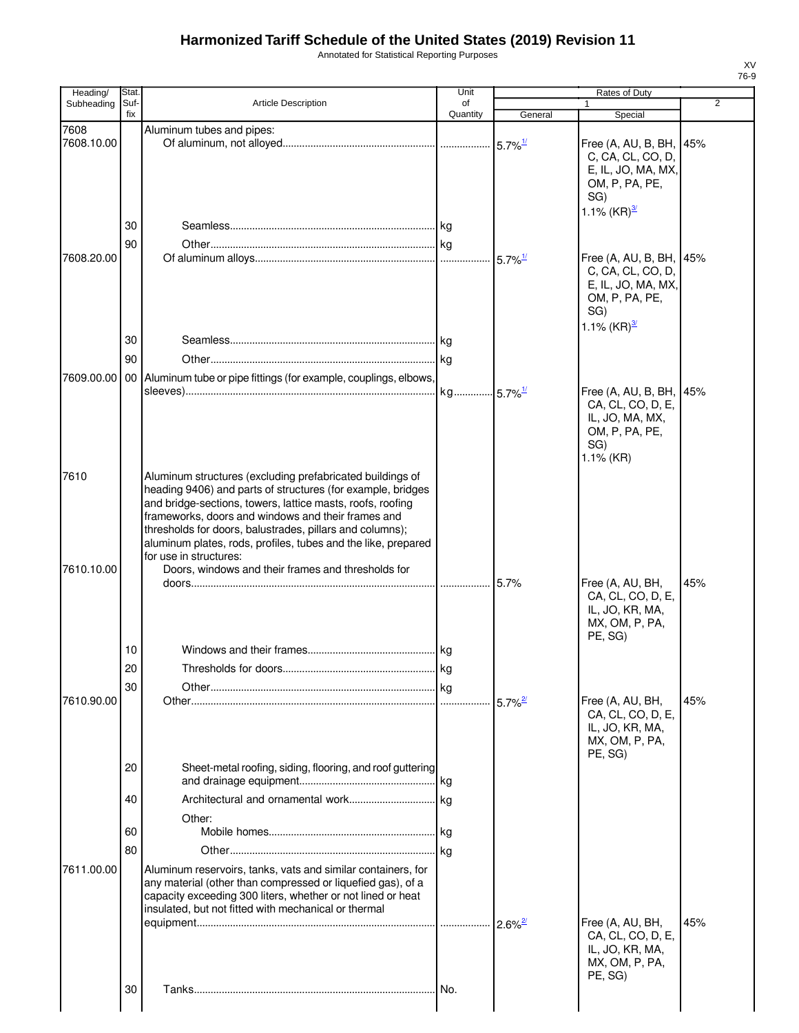Annotated for Statistical Reporting Purposes

| Heading/           | Stat.       |                                                                                                                                                                                                                                                                                                                                                                                                                                                           | Unit                  |         | Rates of Duty                                                                                                    |                |
|--------------------|-------------|-----------------------------------------------------------------------------------------------------------------------------------------------------------------------------------------------------------------------------------------------------------------------------------------------------------------------------------------------------------------------------------------------------------------------------------------------------------|-----------------------|---------|------------------------------------------------------------------------------------------------------------------|----------------|
| Subheading         | Suf-<br>fix | Article Description                                                                                                                                                                                                                                                                                                                                                                                                                                       | of<br>Quantity        | General | $\mathbf{1}$<br>Special                                                                                          | $\overline{2}$ |
| 7608               |             | Aluminum tubes and pipes:                                                                                                                                                                                                                                                                                                                                                                                                                                 |                       |         |                                                                                                                  |                |
| 7608.10.00         |             |                                                                                                                                                                                                                                                                                                                                                                                                                                                           |                       |         | Free (A, AU, B, BH,                                                                                              | 45%            |
|                    |             |                                                                                                                                                                                                                                                                                                                                                                                                                                                           |                       |         | C, CA, CL, CO, D,<br>E, IL, JO, MA, MX,<br>OM, P, PA, PE,<br>SG)                                                 |                |
|                    |             |                                                                                                                                                                                                                                                                                                                                                                                                                                                           |                       |         | 1.1% $(KR)^{3/2}$                                                                                                |                |
|                    | 30          |                                                                                                                                                                                                                                                                                                                                                                                                                                                           |                       |         |                                                                                                                  |                |
|                    | 90          |                                                                                                                                                                                                                                                                                                                                                                                                                                                           |                       |         |                                                                                                                  |                |
| 7608.20.00         |             |                                                                                                                                                                                                                                                                                                                                                                                                                                                           |                       |         | Free (A, AU, B, BH, 45%<br>C, CA, CL, CO, D,<br>E, IL, JO, MA, MX,<br>OM, P, PA, PE,<br>SG)<br>1.1% $(KR)^{3/2}$ |                |
|                    | 30          |                                                                                                                                                                                                                                                                                                                                                                                                                                                           |                       |         |                                                                                                                  |                |
|                    | 90          |                                                                                                                                                                                                                                                                                                                                                                                                                                                           |                       |         |                                                                                                                  |                |
|                    |             |                                                                                                                                                                                                                                                                                                                                                                                                                                                           |                       |         |                                                                                                                  |                |
|                    |             | 7609.00.00   00   Aluminum tube or pipe fittings (for example, couplings, elbows,                                                                                                                                                                                                                                                                                                                                                                         |                       |         |                                                                                                                  |                |
|                    |             |                                                                                                                                                                                                                                                                                                                                                                                                                                                           | kg 5.7% <sup>1/</sup> |         | Free (A, AU, B, BH,<br>CA, CL, CO, D, E,<br>IL, JO, MA, MX,<br>OM, P, PA, PE,<br>SG)<br>$1.1\%$ (KR)             | 45%            |
| 7610<br>7610.10.00 |             | Aluminum structures (excluding prefabricated buildings of<br>heading 9406) and parts of structures (for example, bridges<br>and bridge-sections, towers, lattice masts, roofs, roofing<br>frameworks, doors and windows and their frames and<br>thresholds for doors, balustrades, pillars and columns);<br>aluminum plates, rods, profiles, tubes and the like, prepared<br>for use in structures:<br>Doors, windows and their frames and thresholds for |                       |         |                                                                                                                  |                |
|                    |             |                                                                                                                                                                                                                                                                                                                                                                                                                                                           |                       |         | Free (A, AU, BH,<br>CA, CL, CO, D, E,<br>IL, JO, KR, MA,<br>MX, OM, P, PA,<br>PE, SG)                            | 45%            |
|                    | 10          |                                                                                                                                                                                                                                                                                                                                                                                                                                                           |                       |         |                                                                                                                  |                |
|                    | 20          | Thresholds for doors.                                                                                                                                                                                                                                                                                                                                                                                                                                     | ka                    |         |                                                                                                                  |                |
|                    | 30          |                                                                                                                                                                                                                                                                                                                                                                                                                                                           |                       |         |                                                                                                                  |                |
| 7610.90.00         |             |                                                                                                                                                                                                                                                                                                                                                                                                                                                           |                       |         | Free (A, AU, BH,                                                                                                 | 45%            |
|                    |             |                                                                                                                                                                                                                                                                                                                                                                                                                                                           |                       |         | CA, CL, CO, D, E,<br>IL, JO, KR, MA,<br>MX, OM, P, PA,<br>PE, SG)                                                |                |
|                    | 20          | Sheet-metal roofing, siding, flooring, and roof guttering                                                                                                                                                                                                                                                                                                                                                                                                 |                       |         |                                                                                                                  |                |
|                    | 40          |                                                                                                                                                                                                                                                                                                                                                                                                                                                           |                       |         |                                                                                                                  |                |
|                    |             | Other:                                                                                                                                                                                                                                                                                                                                                                                                                                                    |                       |         |                                                                                                                  |                |
|                    | 60          |                                                                                                                                                                                                                                                                                                                                                                                                                                                           |                       |         |                                                                                                                  |                |
|                    | 80          |                                                                                                                                                                                                                                                                                                                                                                                                                                                           |                       |         |                                                                                                                  |                |
| 7611.00.00         |             | Aluminum reservoirs, tanks, vats and similar containers, for<br>any material (other than compressed or liquefied gas), of a<br>capacity exceeding 300 liters, whether or not lined or heat<br>insulated, but not fitted with mechanical or thermal                                                                                                                                                                                                        |                       |         |                                                                                                                  |                |
|                    |             |                                                                                                                                                                                                                                                                                                                                                                                                                                                           |                       |         | Free (A, AU, BH,<br>CA, CL, CO, D, E,<br>IL, JO, KR, MA,<br>MX, OM, P, PA,<br>PE, SG)                            | 45%            |
|                    | 30          |                                                                                                                                                                                                                                                                                                                                                                                                                                                           |                       |         |                                                                                                                  |                |
|                    |             |                                                                                                                                                                                                                                                                                                                                                                                                                                                           |                       |         |                                                                                                                  |                |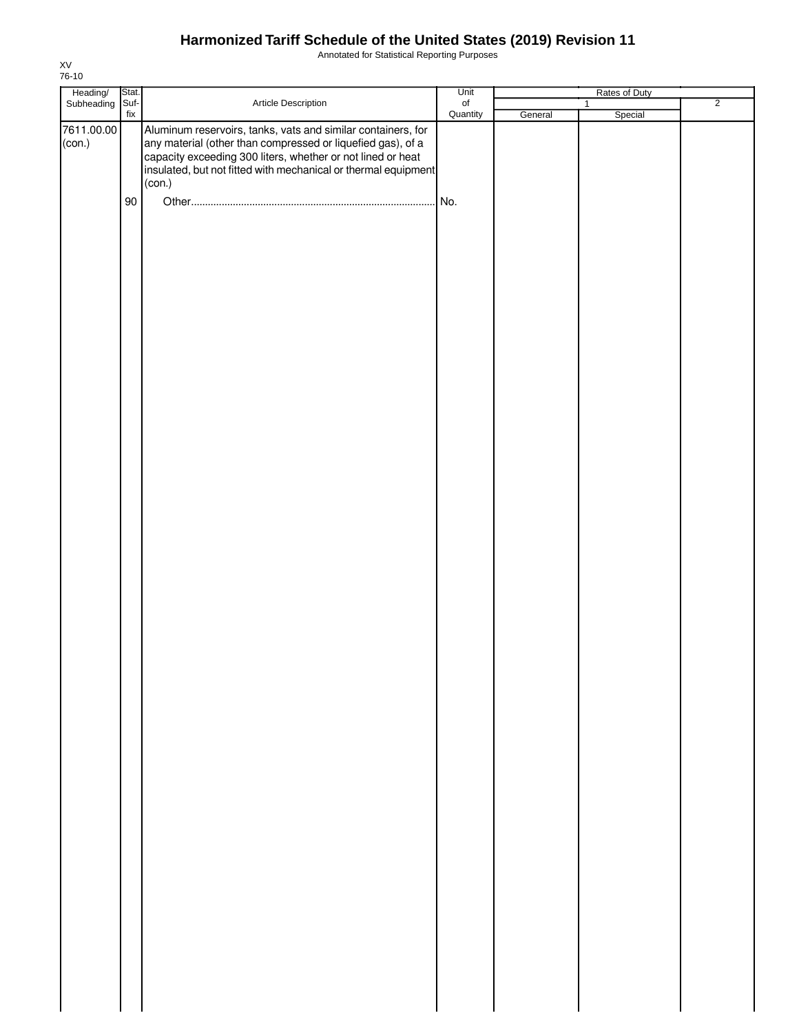Annotated for Statistical Reporting Purposes

| Heading/<br>Subheading | Stat.     |                                                                                                                                                                                                                                                                        | Unit           |         | Rates of Duty  |                |
|------------------------|-----------|------------------------------------------------------------------------------------------------------------------------------------------------------------------------------------------------------------------------------------------------------------------------|----------------|---------|----------------|----------------|
|                        | Suf-      | Article Description                                                                                                                                                                                                                                                    | of<br>Quantity |         | $\overline{1}$ | $\overline{2}$ |
| 7611.00.00<br>(con.)   | fix<br>90 | Aluminum reservoirs, tanks, vats and similar containers, for<br>any material (other than compressed or liquefied gas), of a<br>capacity exceeding 300 liters, whether or not lined or heat<br>insulated, but not fitted with mechanical or thermal equipment<br>(con.) | No.            | General | Special        |                |
|                        |           |                                                                                                                                                                                                                                                                        |                |         |                |                |
|                        |           |                                                                                                                                                                                                                                                                        |                |         |                |                |
|                        |           |                                                                                                                                                                                                                                                                        |                |         |                |                |
|                        |           |                                                                                                                                                                                                                                                                        |                |         |                |                |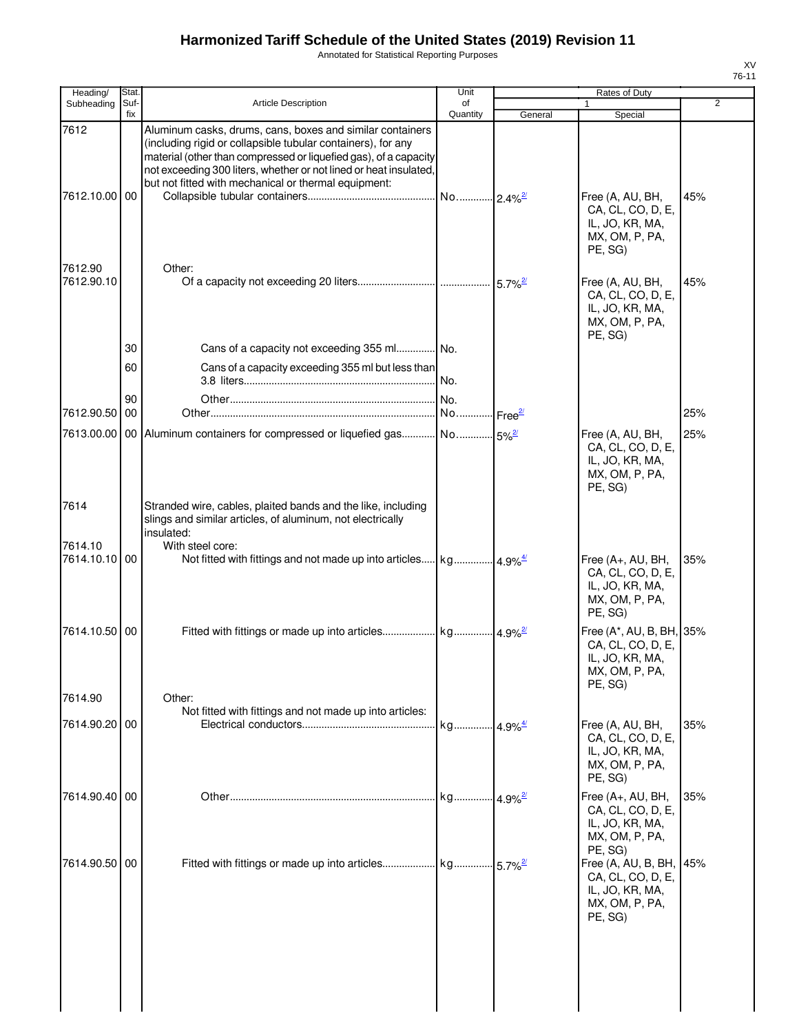Annotated for Statistical Reporting Purposes

| Heading/              | Stat.       |                                                                                                                                                                                                                                                                                                                            | Unit           |                                             | Rates of Duty                                                                                 |                |
|-----------------------|-------------|----------------------------------------------------------------------------------------------------------------------------------------------------------------------------------------------------------------------------------------------------------------------------------------------------------------------------|----------------|---------------------------------------------|-----------------------------------------------------------------------------------------------|----------------|
| Subheading            | Suf-<br>fix | Article Description                                                                                                                                                                                                                                                                                                        | of<br>Quantity | General                                     | 1<br>Special                                                                                  | $\overline{2}$ |
| 7612<br>7612.10.00 00 |             | Aluminum casks, drums, cans, boxes and similar containers<br>(including rigid or collapsible tubular containers), for any<br>material (other than compressed or liquefied gas), of a capacity<br>not exceeding 300 liters, whether or not lined or heat insulated,<br>but not fitted with mechanical or thermal equipment: |                | $-2.4\%$ <sup>2/</sup>                      | Free (A, AU, BH,<br>CA, CL, CO, D, E,<br>IL, JO, KR, MA,<br>MX, OM, P, PA,<br>PE, SG)         | 45%            |
| 7612.90<br>7612.90.10 |             | Other:                                                                                                                                                                                                                                                                                                                     |                | $5.7\%$ <sup>2/</sup>                       | Free (A, AU, BH,<br>CA, CL, CO, D, E,<br>IL, JO, KR, MA,<br>MX, OM, P, PA,<br>PE, SG)         | 45%            |
|                       | 30          | Cans of a capacity not exceeding 355 ml No.                                                                                                                                                                                                                                                                                |                |                                             |                                                                                               |                |
|                       | 60          | Cans of a capacity exceeding 355 ml but less than                                                                                                                                                                                                                                                                          |                |                                             |                                                                                               |                |
| 7612.90.50            | 90<br>00    |                                                                                                                                                                                                                                                                                                                            | No.<br>No      |                                             |                                                                                               | 25%            |
|                       |             | 7613.00.00   00   Aluminum containers for compressed or liquefied gas No                                                                                                                                                                                                                                                   |                | Free <sup>27</sup>                          |                                                                                               |                |
|                       |             |                                                                                                                                                                                                                                                                                                                            |                | $-5%^{2/3}$                                 | Free (A, AU, BH,<br>CA, CL, CO, D, E,<br>IL, JO, KR, MA,<br>MX, OM, P, PA,<br>PE, SG)         | 25%            |
| 7614                  |             | Stranded wire, cables, plaited bands and the like, including<br>slings and similar articles, of aluminum, not electrically<br>insulated:                                                                                                                                                                                   |                |                                             |                                                                                               |                |
| 7614.10               |             | With steel core:                                                                                                                                                                                                                                                                                                           |                |                                             |                                                                                               |                |
| 7614.10.10 00         |             | Not fitted with fittings and not made up into articles kg                                                                                                                                                                                                                                                                  |                | $4.9\%$ <sup><math>\frac{4}{3}</math></sup> | Free (A+, AU, BH,<br>CA, CL, CO, D, E,<br>IL, JO, KR, MA,<br>MX, OM, P, PA,<br>PE, SG)        | 35%            |
| 7614.10.50 00         |             |                                                                                                                                                                                                                                                                                                                            |                |                                             | Free (A*, AU, B, BH, 35%<br>CA, CL, CO, D, E,<br>IL, JO, KR, MA,<br>MX, OM, P, PA,<br>PE, SG) |                |
| 7614.90               |             | Other:                                                                                                                                                                                                                                                                                                                     |                |                                             |                                                                                               |                |
| 7614.90.20 00         |             | Not fitted with fittings and not made up into articles:                                                                                                                                                                                                                                                                    | kg             | $4.9\%$ <sup><math>\frac{4}{3}</math></sup> | Free (A, AU, BH,<br>CA, CL, CO, D, E,<br>IL, JO, KR, MA,<br>MX, OM, P, PA,                    | 35%            |
| 7614.90.40 00         |             |                                                                                                                                                                                                                                                                                                                            | kg             | $4.9\%$ <sup>2/</sup>                       | PE. SG)<br>Free (A+, AU, BH,<br>CA, CL, CO, D, E,                                             | 35%            |
| 7614.90.50            | 00          |                                                                                                                                                                                                                                                                                                                            |                | $-5.7\%$ <sup>2/</sup>                      | IL, JO, KR, MA,<br>MX, OM, P, PA,<br>PE, SG)<br>Free (A, AU, B, BH,                           | 45%            |
|                       |             |                                                                                                                                                                                                                                                                                                                            |                |                                             | CA, CL, CO, D, E,<br>IL, JO, KR, MA,<br>MX, OM, P, PA,<br>PE, SG)                             |                |

XV 76-11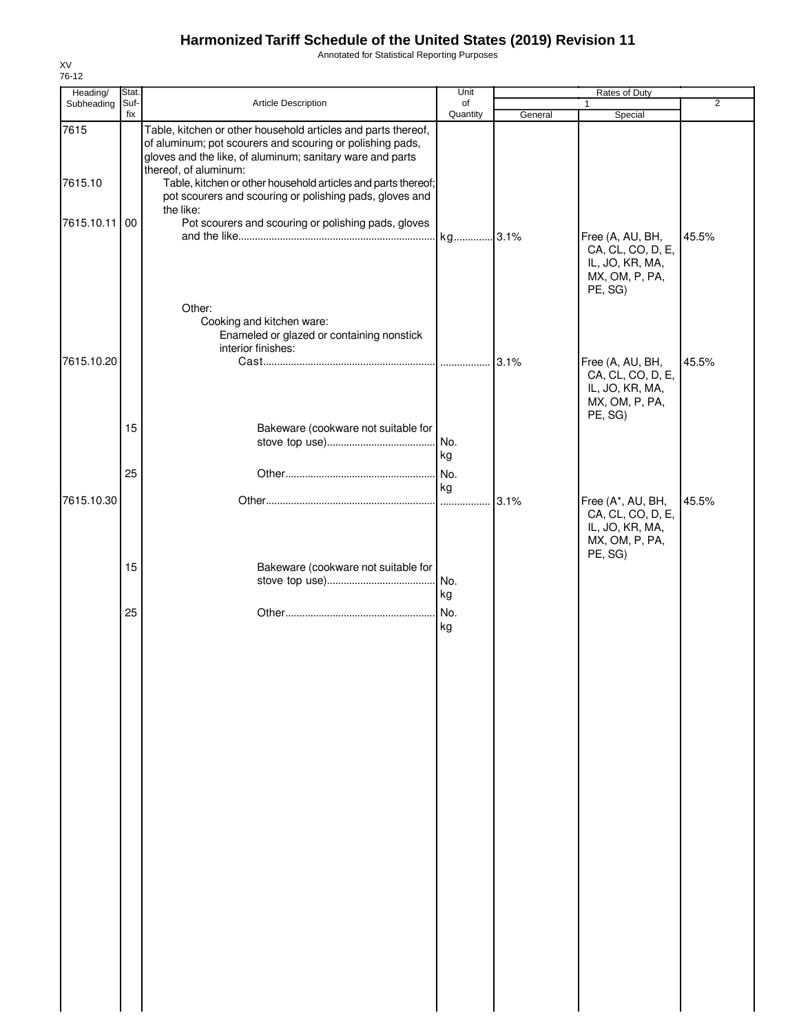Annotated for Statistical Reporting Purposes

| Heading/   | Stat. |                                                                                                                                                                                         | Unit         |         | Rates of Duty                                                                         |                |
|------------|-------|-----------------------------------------------------------------------------------------------------------------------------------------------------------------------------------------|--------------|---------|---------------------------------------------------------------------------------------|----------------|
| Subheading | Suf-  | Article Description                                                                                                                                                                     | of           |         | 1                                                                                     | $\overline{2}$ |
| 7615       | fix   | Table, kitchen or other household articles and parts thereof,<br>of aluminum; pot scourers and scouring or polishing pads,<br>gloves and the like, of aluminum; sanitary ware and parts | Quantity     | General | Special                                                                               |                |
| 7615.10    |       | thereof, of aluminum:<br>Table, kitchen or other household articles and parts thereof;<br>pot scourers and scouring or polishing pads, gloves and<br>the like:                          |              |         |                                                                                       |                |
| 7615.10.11 | 00    | Pot scourers and scouring or polishing pads, gloves                                                                                                                                     | kg 3.1%      |         | Free (A, AU, BH,<br>CA, CL, CO, D, E,<br>IL, JO, KR, MA,<br>MX, OM, P, PA,<br>PE, SG) | 45.5%          |
| 7615.10.20 |       | Other:<br>Cooking and kitchen ware:<br>Enameled or glazed or containing nonstick<br>interior finishes:                                                                                  |              |         | Free (A, AU, BH,                                                                      | 45.5%          |
|            | 15    | Bakeware (cookware not suitable for                                                                                                                                                     |              |         | CA, CL, CO, D, E,<br>IL, JO, KR, MA,<br>MX, OM, P, PA,<br>PE, SG)                     |                |
|            | 25    |                                                                                                                                                                                         | kg<br>.l No. |         |                                                                                       |                |
| 7615.10.30 |       |                                                                                                                                                                                         | kg           | 3.1%    | Free (A*, AU, BH,<br>CA, CL, CO, D, E,<br>IL, JO, KR, MA,<br>MX, OM, P, PA,           | 45.5%          |
|            | 15    | Bakeware (cookware not suitable for                                                                                                                                                     | No.<br>kg    |         | PE, SG)                                                                               |                |
|            | 25    |                                                                                                                                                                                         | No.<br>kg    |         |                                                                                       |                |
|            |       |                                                                                                                                                                                         |              |         |                                                                                       |                |
|            |       |                                                                                                                                                                                         |              |         |                                                                                       |                |
|            |       |                                                                                                                                                                                         |              |         |                                                                                       |                |
|            |       |                                                                                                                                                                                         |              |         |                                                                                       |                |
|            |       |                                                                                                                                                                                         |              |         |                                                                                       |                |
|            |       |                                                                                                                                                                                         |              |         |                                                                                       |                |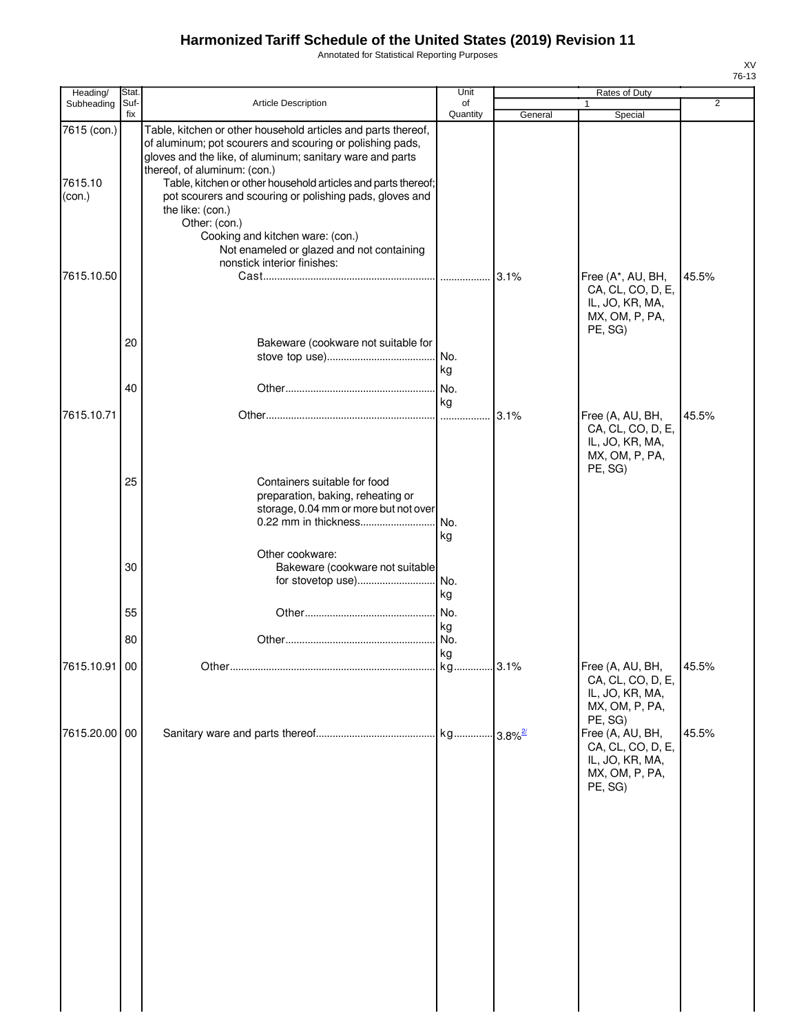Annotated for Statistical Reporting Purposes

| ۰.<br>۰, |  |
|----------|--|

| Heading/                         | Stat.       |                                                                                                                                                                                                                                                                                                                                                                                                                                                                           | Unit             | Rates of Duty |                                                                                                  |                |  |
|----------------------------------|-------------|---------------------------------------------------------------------------------------------------------------------------------------------------------------------------------------------------------------------------------------------------------------------------------------------------------------------------------------------------------------------------------------------------------------------------------------------------------------------------|------------------|---------------|--------------------------------------------------------------------------------------------------|----------------|--|
| Subheading                       | Suf-<br>fix | Article Description                                                                                                                                                                                                                                                                                                                                                                                                                                                       | of<br>Quantity   | General       | 1<br>Special                                                                                     | $\overline{2}$ |  |
| 7615 (con.)<br>7615.10<br>(con.) |             | Table, kitchen or other household articles and parts thereof,<br>of aluminum; pot scourers and scouring or polishing pads,<br>gloves and the like, of aluminum; sanitary ware and parts<br>thereof, of aluminum: (con.)<br>Table, kitchen or other household articles and parts thereof;<br>pot scourers and scouring or polishing pads, gloves and<br>the like: (con.)<br>Other: (con.)<br>Cooking and kitchen ware: (con.)<br>Not enameled or glazed and not containing |                  |               |                                                                                                  |                |  |
| 7615.10.50                       |             | nonstick interior finishes:                                                                                                                                                                                                                                                                                                                                                                                                                                               |                  | 3.1%          | Free (A*, AU, BH,<br>CA, CL, CO, D, E,<br>IL, JO, KR, MA,<br>MX, OM, P, PA,<br>PE, SG)           | 45.5%          |  |
|                                  | 20<br>40    | Bakeware (cookware not suitable for                                                                                                                                                                                                                                                                                                                                                                                                                                       | No.<br>kg<br>No. |               |                                                                                                  |                |  |
| 7615.10.71                       |             |                                                                                                                                                                                                                                                                                                                                                                                                                                                                           | kg               | 3.1%          | Free (A, AU, BH,<br>CA, CL, CO, D, E,<br>IL, JO, KR, MA,<br>MX, OM, P, PA,<br>PE, SG)            | 45.5%          |  |
|                                  | 25          | Containers suitable for food<br>preparation, baking, reheating or<br>storage, 0.04 mm or more but not over<br>0.22 mm in thickness                                                                                                                                                                                                                                                                                                                                        | No.<br>kg        |               |                                                                                                  |                |  |
|                                  | 30          | Other cookware:<br>Bakeware (cookware not suitable<br>for stovetop use)                                                                                                                                                                                                                                                                                                                                                                                                   | l No.<br>kg      |               |                                                                                                  |                |  |
|                                  | 55<br>80    |                                                                                                                                                                                                                                                                                                                                                                                                                                                                           | No.<br>kg<br>No. |               |                                                                                                  |                |  |
| 7615.10.91 00                    |             | Other                                                                                                                                                                                                                                                                                                                                                                                                                                                                     | kg<br>lka.       | 3.1%          | Free (A, AU, BH,<br>CA, CL, CO, D, E,<br>IL, JO, KR, MA,<br>MX, OM, P, PA,                       | 45.5%          |  |
| 7615.20.00 00                    |             |                                                                                                                                                                                                                                                                                                                                                                                                                                                                           |                  |               | PE, SG)<br>Free (A, AU, BH,<br>CA, CL, CO, D, E,<br>IL, JO, KR, MA,<br>MX, OM, P, PA,<br>PE, SG) | 45.5%          |  |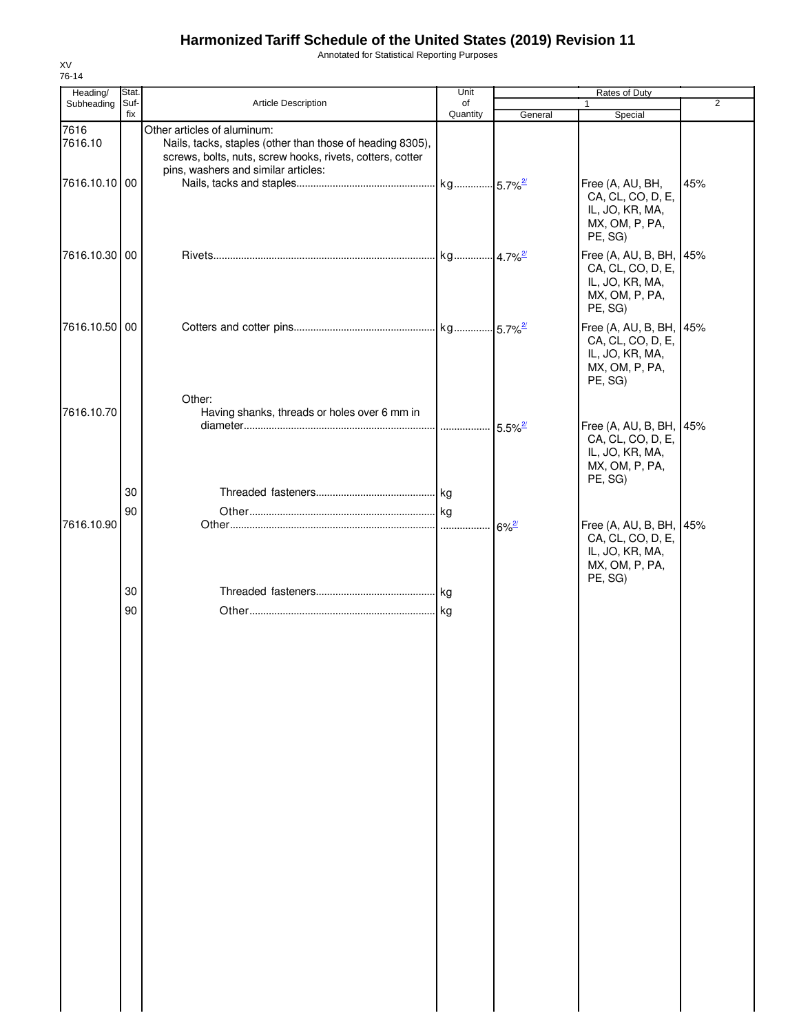Annotated for Statistical Reporting Purposes

| Heading/        | Stat.       |                                                                                                                                                                                              | Unit           |                       | Rates of Duty                                                                                |                |
|-----------------|-------------|----------------------------------------------------------------------------------------------------------------------------------------------------------------------------------------------|----------------|-----------------------|----------------------------------------------------------------------------------------------|----------------|
| Subheading      | Suf-<br>fix | Article Description                                                                                                                                                                          | of<br>Quantity | General               | Special                                                                                      | $\overline{2}$ |
| 7616<br>7616.10 |             | Other articles of aluminum:<br>Nails, tacks, staples (other than those of heading 8305),<br>screws, bolts, nuts, screw hooks, rivets, cotters, cotter<br>pins, washers and similar articles: |                |                       |                                                                                              |                |
| 7616.10.10 00   |             |                                                                                                                                                                                              |                |                       | Free (A, AU, BH,<br>CA, CL, CO, D, E,<br>IL, JO, KR, MA,<br>MX, OM, P, PA,<br>PE, SG)        | 45%            |
| 7616.10.30 00   |             |                                                                                                                                                                                              |                |                       | Free (A, AU, B, BH, 45%<br>CA, CL, CO, D, E,<br>IL, JO, KR, MA,<br>MX, OM, P, PA,<br>PE, SG) |                |
| 7616.10.50 00   |             | Other:                                                                                                                                                                                       |                |                       | Free (A, AU, B, BH, 45%<br>CA, CL, CO, D, E,<br>IL, JO, KR, MA,<br>MX, OM, P, PA,<br>PE, SG) |                |
| 7616.10.70      | 30          | Having shanks, threads or holes over 6 mm in                                                                                                                                                 |                | $5.5\%$ <sup>2/</sup> | Free (A, AU, B, BH, 45%<br>CA, CL, CO, D, E,<br>IL, JO, KR, MA,<br>MX, OM, P, PA,<br>PE, SG) |                |
|                 | 90          |                                                                                                                                                                                              |                |                       |                                                                                              |                |
| 7616.10.90      |             |                                                                                                                                                                                              |                | $6\%$ <sup>2/</sup>   | Free (A, AU, B, BH, 45%<br>CA, CL, CO, D, E,<br>IL, JO, KR, MA,<br>MX, OM, P, PA,<br>PE, SG) |                |
|                 | 30<br>90    |                                                                                                                                                                                              |                |                       |                                                                                              |                |
|                 |             |                                                                                                                                                                                              |                |                       |                                                                                              |                |
|                 |             |                                                                                                                                                                                              |                |                       |                                                                                              |                |
|                 |             |                                                                                                                                                                                              |                |                       |                                                                                              |                |
|                 |             |                                                                                                                                                                                              |                |                       |                                                                                              |                |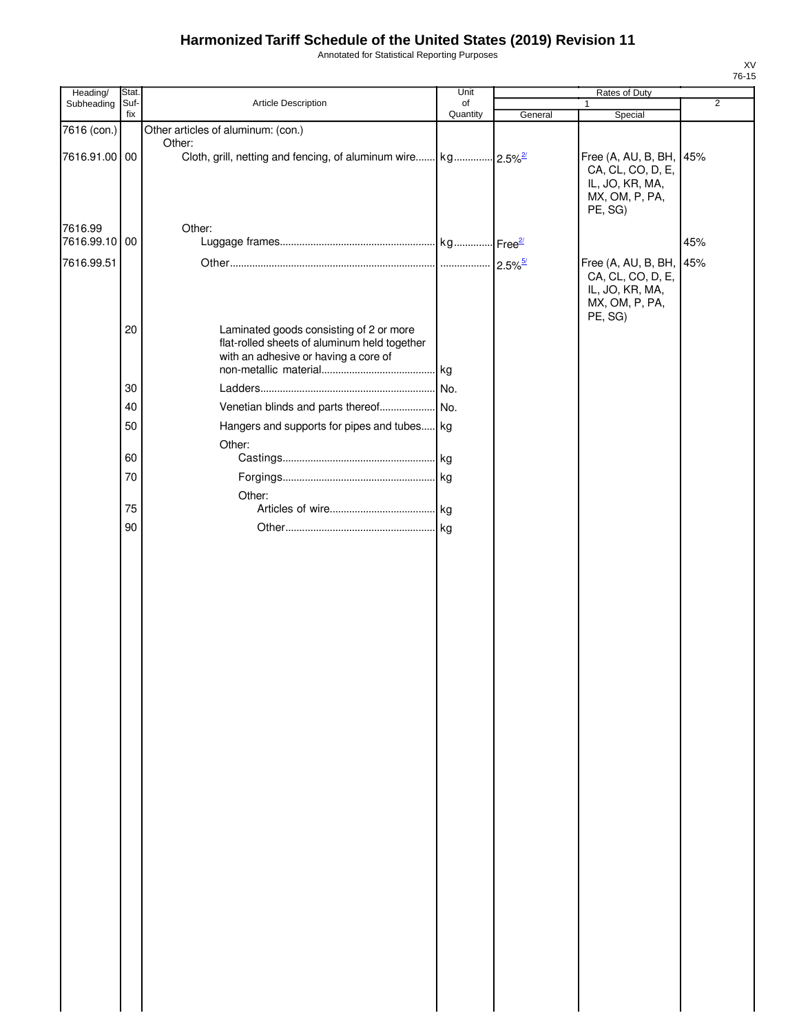Annotated for Statistical Reporting Purposes

| Heading/      | Stat. |                                                                                                                                 | Unit     |         |                                                                                              |                |
|---------------|-------|---------------------------------------------------------------------------------------------------------------------------------|----------|---------|----------------------------------------------------------------------------------------------|----------------|
| Subheading    | Suf-  | Article Description                                                                                                             | of       |         | Rates of Duty<br>1                                                                           | $\overline{2}$ |
|               | fix   |                                                                                                                                 | Quantity | General | Special                                                                                      |                |
| 7616 (con.)   |       | Other articles of aluminum: (con.)<br>Other:                                                                                    |          |         |                                                                                              |                |
| 7616.91.00 00 |       |                                                                                                                                 |          |         | Free (A, AU, B, BH, 45%<br>CA, CL, CO, D, E,<br>IL, JO, KR, MA,<br>MX, OM, P, PA,<br>PE, SG) |                |
| 7616.99       |       | Other:                                                                                                                          |          |         |                                                                                              |                |
| 7616.99.10 00 |       |                                                                                                                                 |          |         |                                                                                              | 45%            |
| 7616.99.51    |       |                                                                                                                                 |          |         | Free (A, AU, B, BH, 45%<br>CA, CL, CO, D, E,<br>IL, JO, KR, MA,<br>MX, OM, P, PA,<br>PE, SG) |                |
|               | 20    | Laminated goods consisting of 2 or more<br>flat-rolled sheets of aluminum held together<br>with an adhesive or having a core of |          |         |                                                                                              |                |
|               | 30    |                                                                                                                                 |          |         |                                                                                              |                |
|               | 40    |                                                                                                                                 |          |         |                                                                                              |                |
|               | 50    | Hangers and supports for pipes and tubes kg                                                                                     |          |         |                                                                                              |                |
|               |       | Other:                                                                                                                          |          |         |                                                                                              |                |
|               | 60    |                                                                                                                                 |          |         |                                                                                              |                |
|               | 70    |                                                                                                                                 | .kg      |         |                                                                                              |                |
|               |       | Other:                                                                                                                          |          |         |                                                                                              |                |
|               | 75    |                                                                                                                                 |          |         |                                                                                              |                |
|               | 90    |                                                                                                                                 |          |         |                                                                                              |                |
|               |       |                                                                                                                                 |          |         |                                                                                              |                |